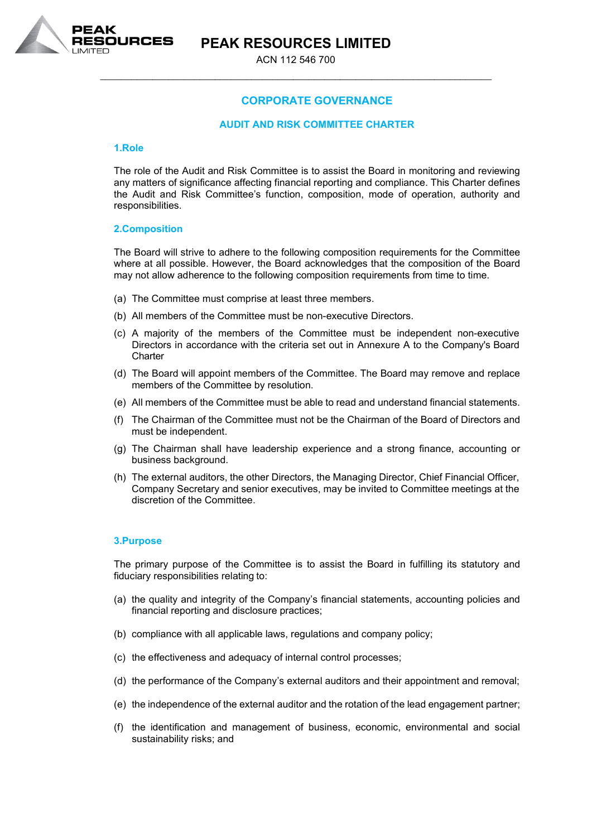

# **PEAK RESOURCES LIMITED**

ACN 112 546 700 \_\_\_\_\_\_\_\_\_\_\_\_\_\_\_\_\_\_\_\_\_\_\_\_\_\_\_\_\_\_\_\_\_\_\_\_\_\_\_\_\_\_\_\_\_\_\_\_\_\_\_\_\_\_\_\_\_\_\_\_\_\_\_\_\_\_\_\_\_\_\_\_\_\_\_

## **CORPORATE GOVERNANCE**

## **AUDIT AND RISK COMMITTEE CHARTER**

#### **1.Role**

The role of the Audit and Risk Committee is to assist the Board in monitoring and reviewing any matters of significance affecting financial reporting and compliance. This Charter defines the Audit and Risk Committee's function, composition, mode of operation, authority and responsibilities.

#### **2.Composition**

The Board will strive to adhere to the following composition requirements for the Committee where at all possible. However, the Board acknowledges that the composition of the Board may not allow adherence to the following composition requirements from time to time.

- (a) The Committee must comprise at least three members.
- (b) All members of the Committee must be non-executive Directors.
- (c) A majority of the members of the Committee must be independent non-executive Directors in accordance with the criteria set out in Annexure A to the Company's Board **Charter**
- (d) The Board will appoint members of the Committee. The Board may remove and replace members of the Committee by resolution.
- (e) All members of the Committee must be able to read and understand financial statements.
- (f) The Chairman of the Committee must not be the Chairman of the Board of Directors and must be independent.
- (g) The Chairman shall have leadership experience and a strong finance, accounting or business background.
- (h) The external auditors, the other Directors, the Managing Director, Chief Financial Officer, Company Secretary and senior executives, may be invited to Committee meetings at the discretion of the Committee.

## **3.Purpose**

The primary purpose of the Committee is to assist the Board in fulfilling its statutory and fiduciary responsibilities relating to:

- (a) the quality and integrity of the Company's financial statements, accounting policies and financial reporting and disclosure practices;
- (b) compliance with all applicable laws, regulations and company policy;
- (c) the effectiveness and adequacy of internal control processes;
- (d) the performance of the Company's external auditors and their appointment and removal;
- (e) the independence of the external auditor and the rotation of the lead engagement partner;
- (f) the identification and management of business, economic, environmental and social sustainability risks; and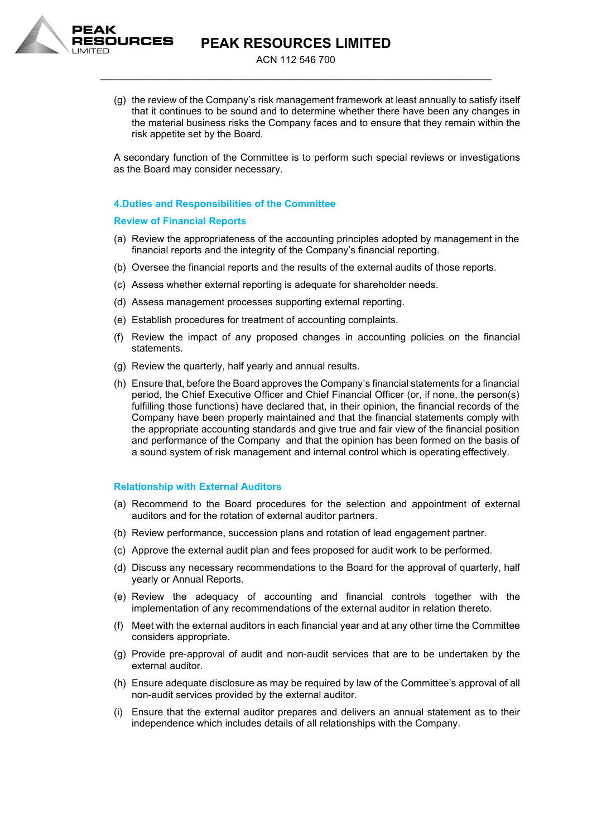



ACN 112 546 700 \_\_\_\_\_\_\_\_\_\_\_\_\_\_\_\_\_\_\_\_\_\_\_\_\_\_\_\_\_\_\_\_\_\_\_\_\_\_\_\_\_\_\_\_\_\_\_\_\_\_\_\_\_\_\_\_\_\_\_\_\_\_\_\_\_\_\_\_\_\_\_\_\_\_\_

(g) the review of the Company's risk management framework at least annually to satisfy itself that it continues to be sound and to determine whether there have been any changes in the material business risks the Company faces and to ensure that they remain within the risk appetite set by the Board.

A secondary function of the Committee is to perform such special reviews or investigations as the Board may consider necessary.

## **4.Duties and Responsibilities of the Committee**

## **Review of Financial Reports**

- (a) Review the appropriateness of the accounting principles adopted by management in the financial reports and the integrity of the Company's financial reporting.
- (b) Oversee the financial reports and the results of the external audits of those reports.
- (c) Assess whether external reporting is adequate for shareholder needs.
- (d) Assess management processes supporting external reporting.
- (e) Establish procedures for treatment of accounting complaints.
- (f) Review the impact of any proposed changes in accounting policies on the financial statements.
- (g) Review the quarterly, half yearly and annual results.
- (h) Ensure that, before the Board approves the Company's financial statements for a financial period, the Chief Executive Officer and Chief Financial Officer (or, if none, the person(s) fulfilling those functions) have declared that, in their opinion, the financial records of the Company have been properly maintained and that the financial statements comply with the appropriate accounting standards and give true and fair view of the financial position and performance of the Company and that the opinion has been formed on the basis of a sound system of risk management and internal control which is operating effectively.

#### **Relationship with External Auditors**

- (a) Recommend to the Board procedures for the selection and appointment of external auditors and for the rotation of external auditor partners.
- (b) Review performance, succession plans and rotation of lead engagement partner.
- (c) Approve the external audit plan and fees proposed for audit work to be performed.
- (d) Discuss any necessary recommendations to the Board for the approval of quarterly, half yearly or Annual Reports.
- (e) Review the adequacy of accounting and financial controls together with the implementation of any recommendations of the external auditor in relation thereto.
- (f) Meet with the external auditors in each financial year and at any other time the Committee considers appropriate.
- (g) Provide pre-approval of audit and non-audit services that are to be undertaken by the external auditor.
- (h) Ensure adequate disclosure as may be required by law of the Committee's approval of all non-audit services provided by the external auditor.
- (i) Ensure that the external auditor prepares and delivers an annual statement as to their independence which includes details of all relationships with the Company.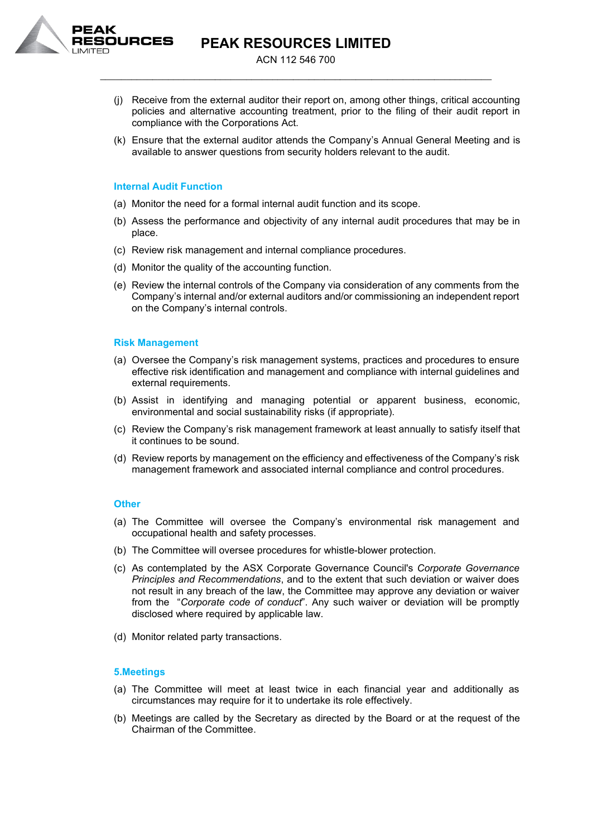

**PEAK RESOURCES LIMITED**

ACN 112 546 700 \_\_\_\_\_\_\_\_\_\_\_\_\_\_\_\_\_\_\_\_\_\_\_\_\_\_\_\_\_\_\_\_\_\_\_\_\_\_\_\_\_\_\_\_\_\_\_\_\_\_\_\_\_\_\_\_\_\_\_\_\_\_\_\_\_\_\_\_\_\_\_\_\_\_\_

- (j) Receive from the external auditor their report on, among other things, critical accounting policies and alternative accounting treatment, prior to the filing of their audit report in compliance with the Corporations Act.
- (k) Ensure that the external auditor attends the Company's Annual General Meeting and is available to answer questions from security holders relevant to the audit.

#### **Internal Audit Function**

- (a) Monitor the need for a formal internal audit function and its scope.
- (b) Assess the performance and objectivity of any internal audit procedures that may be in place.
- (c) Review risk management and internal compliance procedures.
- (d) Monitor the quality of the accounting function.
- (e) Review the internal controls of the Company via consideration of any comments from the Company's internal and/or external auditors and/or commissioning an independent report on the Company's internal controls.

#### **Risk Management**

- (a) Oversee the Company's risk management systems, practices and procedures to ensure effective risk identification and management and compliance with internal guidelines and external requirements.
- (b) Assist in identifying and managing potential or apparent business, economic, environmental and social sustainability risks (if appropriate).
- (c) Review the Company's risk management framework at least annually to satisfy itself that it continues to be sound.
- (d) Review reports by management on the efficiency and effectiveness of the Company's risk management framework and associated internal compliance and control procedures.

#### **Other**

- (a) The Committee will oversee the Company's environmental risk management and occupational health and safety processes.
- (b) The Committee will oversee procedures for whistle-blower protection.
- (c) As contemplated by the ASX Corporate Governance Council's *Corporate Governance Principles and Recommendations*, and to the extent that such deviation or waiver does not result in any breach of the law, the Committee may approve any deviation or waiver from the "*Corporate code of conduct*". Any such waiver or deviation will be promptly disclosed where required by applicable law.
- (d) Monitor related party transactions.

#### **5.Meetings**

- (a) The Committee will meet at least twice in each financial year and additionally as circumstances may require for it to undertake its role effectively.
- (b) Meetings are called by the Secretary as directed by the Board or at the request of the Chairman of the Committee.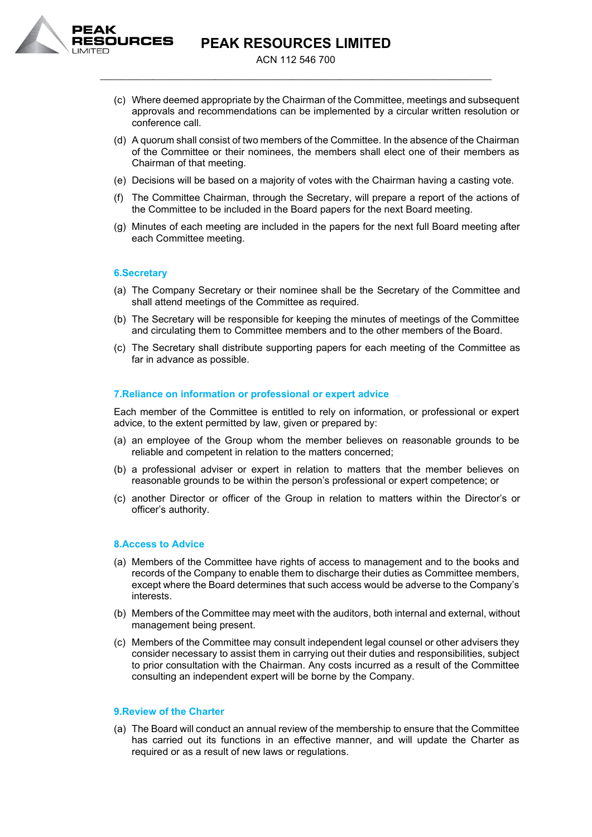

**PEAK RESOURCES LIMITED**

ACN 112 546 700 \_\_\_\_\_\_\_\_\_\_\_\_\_\_\_\_\_\_\_\_\_\_\_\_\_\_\_\_\_\_\_\_\_\_\_\_\_\_\_\_\_\_\_\_\_\_\_\_\_\_\_\_\_\_\_\_\_\_\_\_\_\_\_\_\_\_\_\_\_\_\_\_\_\_\_

- (c) Where deemed appropriate by the Chairman of the Committee, meetings and subsequent approvals and recommendations can be implemented by a circular written resolution or conference call.
- (d) A quorum shall consist of two members of the Committee. In the absence of the Chairman of the Committee or their nominees, the members shall elect one of their members as Chairman of that meeting.
- (e) Decisions will be based on a majority of votes with the Chairman having a casting vote.
- (f) The Committee Chairman, through the Secretary, will prepare a report of the actions of the Committee to be included in the Board papers for the next Board meeting.
- (g) Minutes of each meeting are included in the papers for the next full Board meeting after each Committee meeting.

## **6.Secretary**

- (a) The Company Secretary or their nominee shall be the Secretary of the Committee and shall attend meetings of the Committee as required.
- (b) The Secretary will be responsible for keeping the minutes of meetings of the Committee and circulating them to Committee members and to the other members of the Board.
- (c) The Secretary shall distribute supporting papers for each meeting of the Committee as far in advance as possible.

#### **7.Reliance on information or professional or expert advice**

Each member of the Committee is entitled to rely on information, or professional or expert advice, to the extent permitted by law, given or prepared by:

- (a) an employee of the Group whom the member believes on reasonable grounds to be reliable and competent in relation to the matters concerned;
- (b) a professional adviser or expert in relation to matters that the member believes on reasonable grounds to be within the person's professional or expert competence; or
- (c) another Director or officer of the Group in relation to matters within the Director's or officer's authority.

## **8.Access to Advice**

- (a) Members of the Committee have rights of access to management and to the books and records of the Company to enable them to discharge their duties as Committee members, except where the Board determines that such access would be adverse to the Company's interests.
- (b) Members of the Committee may meet with the auditors, both internal and external, without management being present.
- (c) Members of the Committee may consult independent legal counsel or other advisers they consider necessary to assist them in carrying out their duties and responsibilities, subject to prior consultation with the Chairman. Any costs incurred as a result of the Committee consulting an independent expert will be borne by the Company.

#### **9.Review of the Charter**

(a) The Board will conduct an annual review of the membership to ensure that the Committee has carried out its functions in an effective manner, and will update the Charter as required or as a result of new laws or regulations.